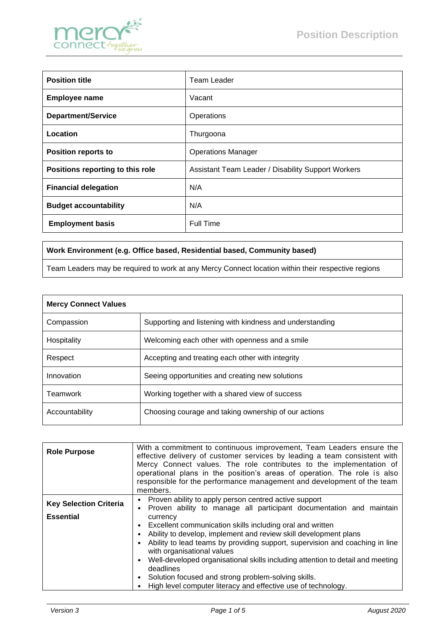

| <b>Position title</b>            | Team Leader                                               |
|----------------------------------|-----------------------------------------------------------|
| <b>Employee name</b>             | Vacant                                                    |
| <b>Department/Service</b>        | Operations                                                |
| Location                         | Thurgoona                                                 |
| <b>Position reports to</b>       | <b>Operations Manager</b>                                 |
| Positions reporting to this role | <b>Assistant Team Leader / Disability Support Workers</b> |
| <b>Financial delegation</b>      | N/A                                                       |
| <b>Budget accountability</b>     | N/A                                                       |
| <b>Employment basis</b>          | <b>Full Time</b>                                          |

## **Work Environment (e.g. Office based, Residential based, Community based)**

Team Leaders may be required to work at any Mercy Connect location within their respective regions

| <b>Mercy Connect Values</b> |                                                          |
|-----------------------------|----------------------------------------------------------|
| Compassion                  | Supporting and listening with kindness and understanding |
| Hospitality                 | Welcoming each other with openness and a smile           |
| Respect                     | Accepting and treating each other with integrity         |
| Innovation                  | Seeing opportunities and creating new solutions          |
| Teamwork                    | Working together with a shared view of success           |
| Accountability              | Choosing courage and taking ownership of our actions     |

| <b>Role Purpose</b>           | With a commitment to continuous improvement, Team Leaders ensure the<br>effective delivery of customer services by leading a team consistent with<br>Mercy Connect values. The role contributes to the implementation of<br>operational plans in the position's areas of operation. The role is also<br>responsible for the performance management and development of the team<br>members.                                                                                     |
|-------------------------------|--------------------------------------------------------------------------------------------------------------------------------------------------------------------------------------------------------------------------------------------------------------------------------------------------------------------------------------------------------------------------------------------------------------------------------------------------------------------------------|
| <b>Key Selection Criteria</b> | Proven ability to apply person centred active support<br>• Proven ability to manage all participant documentation and maintain                                                                                                                                                                                                                                                                                                                                                 |
| <b>Essential</b>              | currency<br>Excellent communication skills including oral and written<br>Ability to develop, implement and review skill development plans<br>Ability to lead teams by providing support, supervision and coaching in line<br>with organisational values<br>Well-developed organisational skills including attention to detail and meeting<br>deadlines<br>Solution focused and strong problem-solving skills.<br>High level computer literacy and effective use of technology. |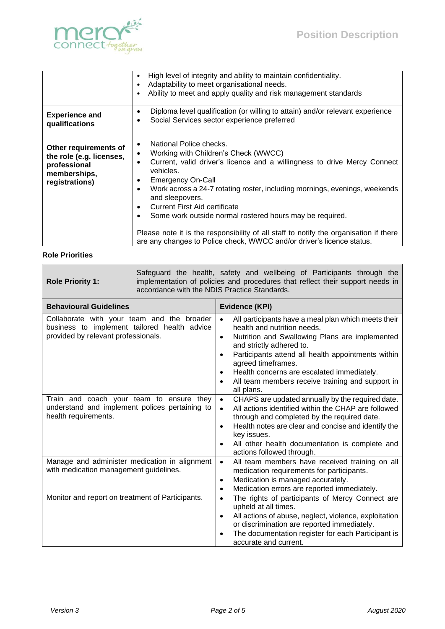

|                                                                                                     | High level of integrity and ability to maintain confidentiality.<br>Adaptability to meet organisational needs.<br>$\bullet$<br>Ability to meet and apply quality and risk management standards                                                                                                                                                                                                                                                                                                                                                                                                                                                         |
|-----------------------------------------------------------------------------------------------------|--------------------------------------------------------------------------------------------------------------------------------------------------------------------------------------------------------------------------------------------------------------------------------------------------------------------------------------------------------------------------------------------------------------------------------------------------------------------------------------------------------------------------------------------------------------------------------------------------------------------------------------------------------|
| <b>Experience and</b><br>qualifications                                                             | Diploma level qualification (or willing to attain) and/or relevant experience<br>$\bullet$<br>Social Services sector experience preferred<br>$\bullet$                                                                                                                                                                                                                                                                                                                                                                                                                                                                                                 |
| Other requirements of<br>the role (e.g. licenses,<br>professional<br>memberships,<br>registrations) | National Police checks.<br>$\bullet$<br>Working with Children's Check (WWCC)<br>$\bullet$<br>Current, valid driver's licence and a willingness to drive Mercy Connect<br>$\bullet$<br>vehicles.<br><b>Emergency On-Call</b><br>$\bullet$<br>Work across a 24-7 rotating roster, including mornings, evenings, weekends<br>$\bullet$<br>and sleepovers.<br><b>Current First Aid certificate</b><br>$\bullet$<br>Some work outside normal rostered hours may be required.<br>$\bullet$<br>Please note it is the responsibility of all staff to notify the organisation if there<br>are any changes to Police check, WWCC and/or driver's licence status. |

## **Role Priorities**

 $\mathbf{r}$ 

| Safeguard the health, safety and wellbeing of Participants through the<br>implementation of policies and procedures that reflect their support needs in<br><b>Role Priority 1:</b><br>accordance with the NDIS Practice Standards. |                                                                                                                                                                                                                                                                                                                                                                                                       |  |
|------------------------------------------------------------------------------------------------------------------------------------------------------------------------------------------------------------------------------------|-------------------------------------------------------------------------------------------------------------------------------------------------------------------------------------------------------------------------------------------------------------------------------------------------------------------------------------------------------------------------------------------------------|--|
| <b>Behavioural Guidelines</b>                                                                                                                                                                                                      | Evidence (KPI)                                                                                                                                                                                                                                                                                                                                                                                        |  |
| Collaborate with your team and the broader<br>business to implement tailored health advice<br>provided by relevant professionals.                                                                                                  | All participants have a meal plan which meets their<br>$\bullet$<br>health and nutrition needs.<br>Nutrition and Swallowing Plans are implemented<br>$\bullet$<br>and strictly adhered to.<br>Participants attend all health appointments within<br>٠<br>agreed timeframes.<br>Health concerns are escalated immediately.<br>٠<br>All team members receive training and support in<br>٠<br>all plans. |  |
| Train and coach your team to ensure they<br>understand and implement polices pertaining to<br>health requirements.                                                                                                                 | CHAPS are updated annually by the required date.<br>$\bullet$<br>All actions identified within the CHAP are followed<br>$\bullet$<br>through and completed by the required date.<br>Health notes are clear and concise and identify the<br>$\bullet$<br>key issues.<br>All other health documentation is complete and<br>٠<br>actions followed through.                                               |  |
| Manage and administer medication in alignment<br>with medication management guidelines.                                                                                                                                            | All team members have received training on all<br>$\bullet$<br>medication requirements for participants.<br>Medication is managed accurately.<br>٠<br>Medication errors are reported immediately.<br>٠                                                                                                                                                                                                |  |
| Monitor and report on treatment of Participants.                                                                                                                                                                                   | The rights of participants of Mercy Connect are<br>$\bullet$<br>upheld at all times.<br>All actions of abuse, neglect, violence, exploitation<br>٠<br>or discrimination are reported immediately.<br>The documentation register for each Participant is<br>accurate and current.                                                                                                                      |  |

 $\overline{\phantom{a}}$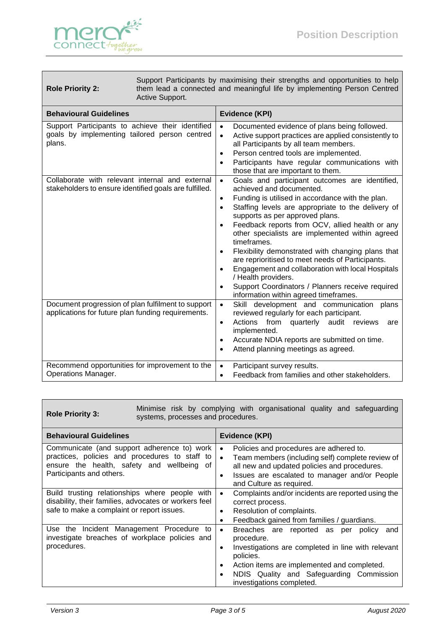

## **Role Priority 2:**

Support Participants by maximising their strengths and opportunities to help them lead a connected and meaningful life by implementing Person Centred Active Support.

| <b>Behavioural Guidelines</b>                                                                               | <b>Evidence (KPI)</b>                                                                                                                                                                                                                                                                                                                                                                                                                                                                                                                                                                                                                                 |
|-------------------------------------------------------------------------------------------------------------|-------------------------------------------------------------------------------------------------------------------------------------------------------------------------------------------------------------------------------------------------------------------------------------------------------------------------------------------------------------------------------------------------------------------------------------------------------------------------------------------------------------------------------------------------------------------------------------------------------------------------------------------------------|
| Support Participants to achieve their identified<br>goals by implementing tailored person centred<br>plans. | Documented evidence of plans being followed.<br>$\bullet$<br>Active support practices are applied consistently to<br>$\bullet$<br>all Participants by all team members.<br>Person centred tools are implemented.<br>٠<br>Participants have regular communications with<br>those that are important to them.                                                                                                                                                                                                                                                                                                                                           |
| Collaborate with relevant internal and external<br>stakeholders to ensure identified goals are fulfilled.   | Goals and participant outcomes are identified,<br>$\bullet$<br>achieved and documented.<br>Funding is utilised in accordance with the plan.<br>٠<br>Staffing levels are appropriate to the delivery of<br>٠<br>supports as per approved plans.<br>Feedback reports from OCV, allied health or any<br>other specialists are implemented within agreed<br>timeframes.<br>Flexibility demonstrated with changing plans that<br>are reprioritised to meet needs of Participants.<br>Engagement and collaboration with local Hospitals<br>/ Health providers.<br>Support Coordinators / Planners receive required<br>information within agreed timeframes. |
| Document progression of plan fulfilment to support<br>applications for future plan funding requirements.    | Skill development and communication<br>$\bullet$<br>plans<br>reviewed regularly for each participant.<br>from quarterly audit reviews<br>Actions<br>are<br>٠<br>implemented.<br>Accurate NDIA reports are submitted on time.<br>Attend planning meetings as agreed.                                                                                                                                                                                                                                                                                                                                                                                   |
| Recommend opportunities for improvement to the<br>Operations Manager.                                       | Participant survey results.<br>$\bullet$<br>Feedback from families and other stakeholders.                                                                                                                                                                                                                                                                                                                                                                                                                                                                                                                                                            |

**Role Priority 3:** Minimise risk by complying with organisational quality and safeguarding systems, processes and procedures.

| <b>Behavioural Guidelines</b>                                                                                                                                           | Evidence (KPI)                                                                                                                                                                                                                                                                           |  |
|-------------------------------------------------------------------------------------------------------------------------------------------------------------------------|------------------------------------------------------------------------------------------------------------------------------------------------------------------------------------------------------------------------------------------------------------------------------------------|--|
| Communicate (and support adherence to) work<br>practices, policies and procedures to staff to<br>ensure the health, safety and wellbeing of<br>Participants and others. | Policies and procedures are adhered to.<br>$\bullet$<br>Team members (including self) complete review of<br>$\bullet$<br>all new and updated policies and procedures.<br>Issues are escalated to manager and/or People<br>٠<br>and Culture as required.                                  |  |
| Build trusting relationships where people with<br>disability, their families, advocates or workers feel<br>safe to make a complaint or report issues.                   | Complaints and/or incidents are reported using the<br>$\bullet$<br>correct process.<br>Resolution of complaints.<br>٠<br>Feedback gained from families / guardians.<br>٠                                                                                                                 |  |
| Use the Incident Management Procedure to<br>investigate breaches of workplace policies and<br>procedures.                                                               | Breaches are reported as<br>policy<br>and<br>per<br>$\bullet$<br>procedure.<br>Investigations are completed in line with relevant<br>٠<br>policies.<br>Action items are implemented and completed.<br>$\bullet$<br>NDIS Quality and Safeguarding Commission<br>investigations completed. |  |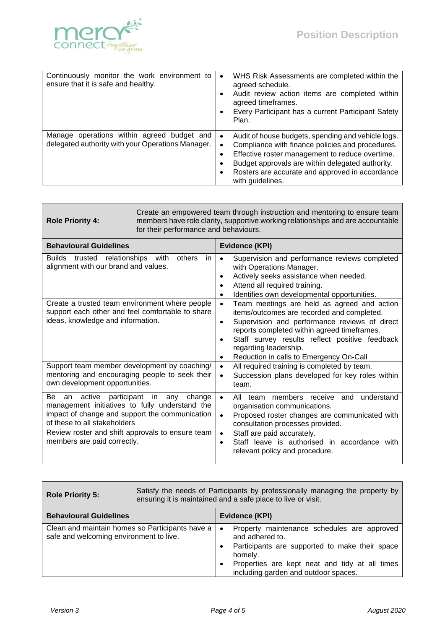

| Continuously monitor the work environment to<br>ensure that it is safe and healthy.             | WHS Risk Assessments are completed within the<br>$\bullet$<br>agreed schedule.<br>Audit review action items are completed within<br>agreed timeframes.<br>Every Participant has a current Participant Safety<br>Plan.                                                                |
|-------------------------------------------------------------------------------------------------|--------------------------------------------------------------------------------------------------------------------------------------------------------------------------------------------------------------------------------------------------------------------------------------|
| Manage operations within agreed budget and<br>delegated authority with your Operations Manager. | Audit of house budgets, spending and vehicle logs.<br>Compliance with finance policies and procedures.<br>Effective roster management to reduce overtime.<br>Budget approvals are within delegated authority.<br>Rosters are accurate and approved in accordance<br>with guidelines. |

| Create an empowered team through instruction and mentoring to ensure team<br>members have role clarity, supportive working relationships and are accountable<br>for their performance and behaviours.                                                                                                                                                                                                                                                                                                 |  |  |
|-------------------------------------------------------------------------------------------------------------------------------------------------------------------------------------------------------------------------------------------------------------------------------------------------------------------------------------------------------------------------------------------------------------------------------------------------------------------------------------------------------|--|--|
| Evidence (KPI)                                                                                                                                                                                                                                                                                                                                                                                                                                                                                        |  |  |
| in<br>Supervision and performance reviews completed<br>$\bullet$<br>with Operations Manager.<br>Actively seeks assistance when needed.<br>$\bullet$<br>Attend all required training.<br>$\bullet$<br>Identifies own developmental opportunities.<br>$\bullet$                                                                                                                                                                                                                                         |  |  |
| Create a trusted team environment where people<br>Team meetings are held as agreed and action<br>$\bullet$<br>support each other and feel comfortable to share<br>items/outcomes are recorded and completed.<br>Supervision and performance reviews of direct<br>$\bullet$<br>reports completed within agreed timeframes.<br>Staff survey results reflect positive feedback<br>$\bullet$<br>regarding leadership.<br>Reduction in calls to Emergency On-Call<br>$\bullet$                             |  |  |
| Support team member development by coaching/<br>All required training is completed by team.<br>$\bullet$<br>mentoring and encouraging people to seek their<br>Succession plans developed for key roles within<br>$\bullet$<br>team.                                                                                                                                                                                                                                                                   |  |  |
| change<br>All team members receive and<br>understand<br>$\bullet$<br>management initiatives to fully understand the<br>organisation communications.<br>impact of change and support the communication<br>Proposed roster changes are communicated with<br>$\bullet$<br>consultation processes provided.<br>Review roster and shift approvals to ensure team<br>Staff are paid accurately.<br>$\bullet$<br>Staff leave is authorised in accordance with<br>$\bullet$<br>relevant policy and procedure. |  |  |
|                                                                                                                                                                                                                                                                                                                                                                                                                                                                                                       |  |  |

| <b>Role Priority 5:</b>                                                                    | Satisfy the needs of Participants by professionally managing the property by<br>ensuring it is maintained and a safe place to live or visit. |                        |                                                                                                                                                                                                                       |
|--------------------------------------------------------------------------------------------|----------------------------------------------------------------------------------------------------------------------------------------------|------------------------|-----------------------------------------------------------------------------------------------------------------------------------------------------------------------------------------------------------------------|
| <b>Behavioural Guidelines</b>                                                              |                                                                                                                                              |                        | <b>Evidence (KPI)</b>                                                                                                                                                                                                 |
| Clean and maintain homes so Participants have a<br>safe and welcoming environment to live. |                                                                                                                                              | $\bullet$<br>$\bullet$ | Property maintenance schedules are approved<br>and adhered to.<br>Participants are supported to make their space<br>homely.<br>Properties are kept neat and tidy at all times<br>including garden and outdoor spaces. |